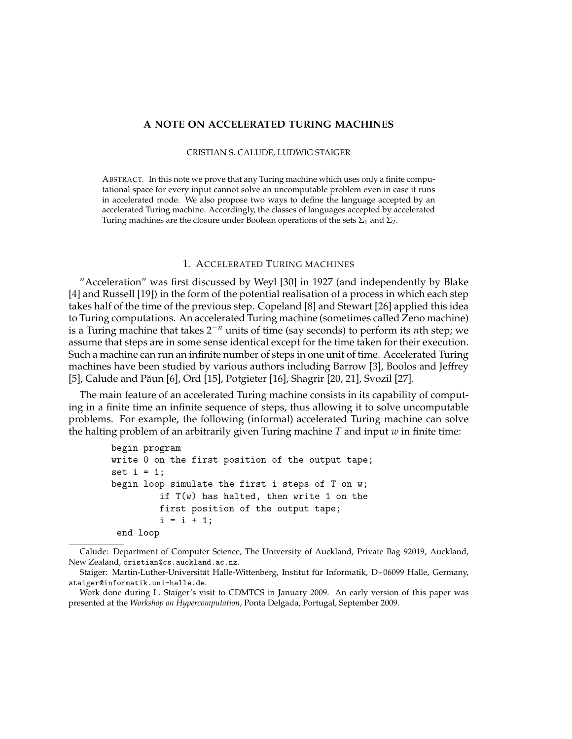# **A NOTE ON ACCELERATED TURING MACHINES**

## CRISTIAN S. CALUDE, LUDWIG STAIGER

ABSTRACT. In this note we prove that any Turing machine which uses only a finite computational space for every input cannot solve an uncomputable problem even in case it runs in accelerated mode. We also propose two ways to define the language accepted by an accelerated Turing machine. Accordingly, the classes of languages accepted by accelerated Turing machines are the closure under Boolean operations of the sets  $\Sigma_1$  and  $\Sigma_2$ .

# 1. ACCELERATED TURING MACHINES

"Acceleration" was first discussed by Weyl [30] in 1927 (and independently by Blake [4] and Russell [19]) in the form of the potential realisation of a process in which each step takes half of the time of the previous step. Copeland [8] and Stewart [26] applied this idea to Turing computations. An accelerated Turing machine (sometimes called Zeno machine) is a Turing machine that takes 2−*<sup>n</sup>* units of time (say seconds) to perform its *n*th step; we assume that steps are in some sense identical except for the time taken for their execution. Such a machine can run an infinite number of steps in one unit of time. Accelerated Turing machines have been studied by various authors including Barrow [3], Boolos and Jeffrey [5], Calude and Păun [6], Ord [15], Potgieter [16], Shagrir [20, 21], Svozil [27].

The main feature of an accelerated Turing machine consists in its capability of computing in a finite time an infinite sequence of steps, thus allowing it to solve uncomputable problems. For example, the following (informal) accelerated Turing machine can solve the halting problem of an arbitrarily given Turing machine *T* and input *w* in finite time:

```
begin program
write 0 on the first position of the output tape;
set i = 1;
begin loop simulate the first i steps of T on w;
         if T(w) has halted, then write 1 on the
         first position of the output tape;
         i = i + 1;
end loop
```
Calude: Department of Computer Science, The University of Auckland, Private Bag 92019, Auckland, New Zealand, cristian@cs.auckland.ac.nz.

Staiger: Martin-Luther-Universität Halle-Wittenberg, Institut für Informatik, D - 06099 Halle, Germany, staiger@informatik.uni-halle.de.

Work done during L. Staiger's visit to CDMTCS in January 2009. An early version of this paper was presented at the *Workshop on Hypercomputation*, Ponta Delgada, Portugal, September 2009.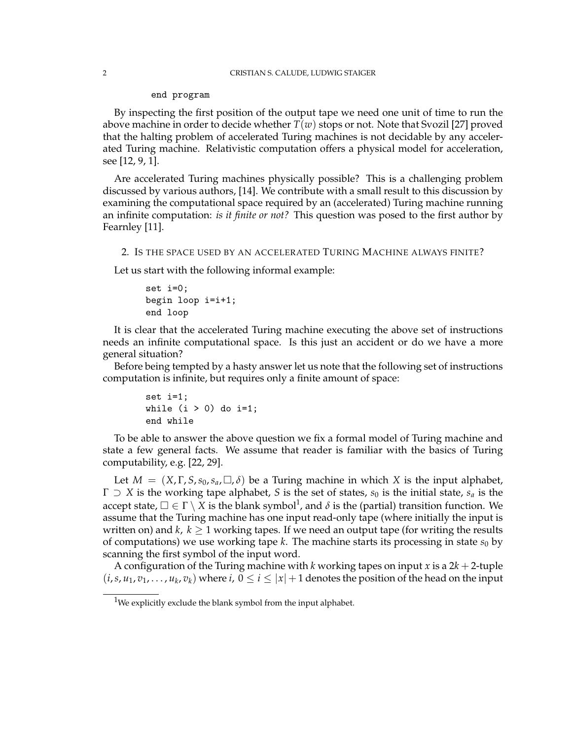#### end program

By inspecting the first position of the output tape we need one unit of time to run the above machine in order to decide whether *T*(*w*) stops or not. Note that Svozil [27] proved that the halting problem of accelerated Turing machines is not decidable by any accelerated Turing machine. Relativistic computation offers a physical model for acceleration, see [12, 9, 1].

Are accelerated Turing machines physically possible? This is a challenging problem discussed by various authors, [14]. We contribute with a small result to this discussion by examining the computational space required by an (accelerated) Turing machine running an infinite computation: *is it finite or not?* This question was posed to the first author by Fearnley [11].

## 2. IS THE SPACE USED BY AN ACCELERATED TURING MACHINE ALWAYS FINITE?

Let us start with the following informal example:

```
set i=0;
begin loop i=i+1;
end loop
```
It is clear that the accelerated Turing machine executing the above set of instructions needs an infinite computational space. Is this just an accident or do we have a more general situation?

Before being tempted by a hasty answer let us note that the following set of instructions computation is infinite, but requires only a finite amount of space:

```
set i=1;
while (i > 0) do i=1;
end while
```
To be able to answer the above question we fix a formal model of Turing machine and state a few general facts. We assume that reader is familiar with the basics of Turing computability, e.g. [22, 29].

Let  $M = (X, \Gamma, S, s_0, s_a, \Box, \delta)$  be a Turing machine in which X is the input alphabet,  $\Gamma \supseteq X$  is the working tape alphabet, *S* is the set of states, *s*<sub>0</sub> is the initial state, *s*<sub>a</sub> is the accept state,  $\Box \in \Gamma \setminus X$  is the blank symbol<sup>1</sup>, and  $\delta$  is the (partial) transition function. We assume that the Turing machine has one input read-only tape (where initially the input is written on) and  $k, k \geq 1$  working tapes. If we need an output tape (for writing the results of computations) we use working tape  $k$ . The machine starts its processing in state  $s_0$  by scanning the first symbol of the input word.

A configuration of the Turing machine with *k* working tapes on input *x* is a  $2k + 2$ -tuple  $(i, s, u_1, v_1, \ldots, u_k, v_k)$  where  $i, 0 \le i \le |x| + 1$  denotes the position of the head on the input

<sup>&</sup>lt;sup>1</sup>We explicitly exclude the blank symbol from the input alphabet.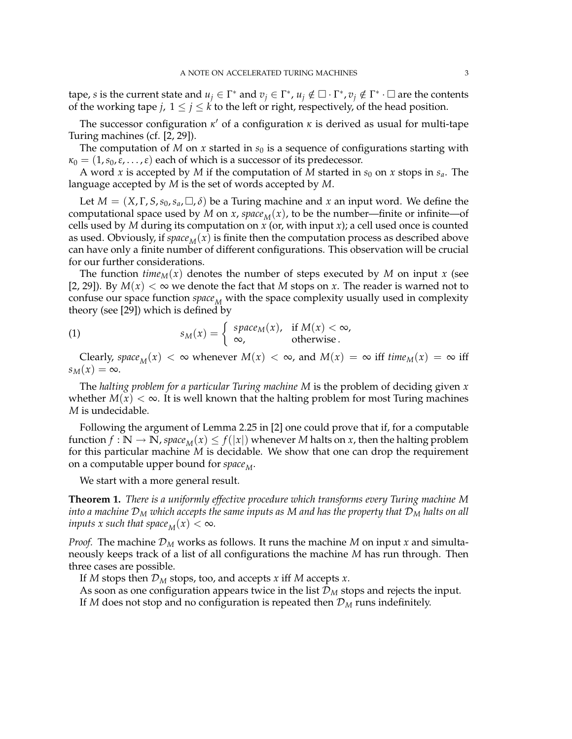tape, *s* is the current state and  $u_j \in \Gamma^*$  and  $v_j \in \Gamma^*$ ,  $u_j \notin \Gamma^*$ ,  $v_j \notin \Gamma^* \cdot \square$  are the contents of the working tape *j*,  $1 \le j \le k$  to the left or right, respectively, of the head position.

The successor configuration  $\kappa'$  of a configuration  $\kappa$  is derived as usual for multi-tape Turing machines (cf. [2, 29]).

The computation of  $M$  on  $x$  started in  $s_0$  is a sequence of configurations starting with  $\kappa_0 = (1, s_0, \varepsilon, \dots, \varepsilon)$  each of which is a successor of its predecessor.

A word *x* is accepted by *M* if the computation of *M* started in  $s_0$  on *x* stops in  $s_a$ . The language accepted by *M* is the set of words accepted by *M*.

Let  $M = (X, \Gamma, S, s_0, s_a, \square, \delta)$  be a Turing machine and x an input word. We define the computational space used by *M* on *x*, *space*<sub>*M*</sub>(*x*), to be the number—finite or infinite—of cells used by *M* during its computation on *x* (or, with input *x*); a cell used once is counted as used. Obviously, if *space*<sub>*M*</sub>( $x$ ) is finite then the computation process as described above can have only a finite number of different configurations. This observation will be crucial for our further considerations.

The function  $time_M(x)$  denotes the number of steps executed by *M* on input *x* (see [2, 29]). By  $M(x) < \infty$  we denote the fact that *M* stops on *x*. The reader is warned not to confuse our space function  $space_M$  with the space complexity usually used in complexity theory (see [29]) which is defined by

(1) 
$$
s_M(x) = \begin{cases} space_M(x), & \text{if } M(x) < \infty, \\ \infty, & \text{otherwise.} \end{cases}
$$

Clearly, *space*<sub>M</sub>(*x*)  $<\infty$  whenever  $M(x) < \infty$ , and  $M(x) = \infty$  iff *time*<sub>M</sub>(*x*) =  $\infty$  iff  $s_M(x) = \infty$ .

The *halting problem for a particular Turing machine M* is the problem of deciding given *x* whether  $M(x) < \infty$ . It is well known that the halting problem for most Turing machines *M* is undecidable.

Following the argument of Lemma 2.25 in [2] one could prove that if, for a computable function  $f : \mathbb{N} \to \mathbb{N}$ , space<sub>M</sub> $(x) \leq f(|x|)$  whenever *M* halts on *x*, then the halting problem for this particular machine *M* is decidable. We show that one can drop the requirement on a computable upper bound for *space*<sub>M</sub>.

We start with a more general result.

**Theorem 1.** *There is a uniformly effective procedure which transforms every Turing machine M into a machine*  $\mathcal{D}_M$  *which accepts the same inputs as*  $M$  *and has the property that*  $\mathcal{D}_M$  *halts on all inputs x such that space*<sub>*M</sub>*(*x*)  $< \infty$ *.*</sub>

*Proof.* The machine  $\mathcal{D}_M$  works as follows. It runs the machine  $M$  on input  $x$  and simultaneously keeps track of a list of all configurations the machine *M* has run through. Then three cases are possible.

If *M* stops then D*<sup>M</sup>* stops, too, and accepts *x* iff *M* accepts *x*.

As soon as one configuration appears twice in the list  $\mathcal{D}_M$  stops and rejects the input. If  $M$  does not stop and no configuration is repeated then  $\mathcal{D}_M$  runs indefinitely.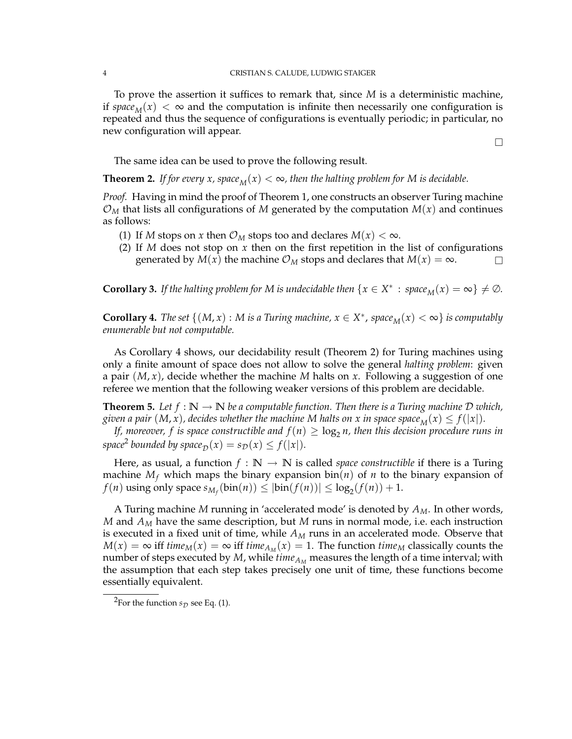To prove the assertion it suffices to remark that, since *M* is a deterministic machine, if *space*<sub>M</sub>(*x*)  $\lt \infty$  and the computation is infinite then necessarily one configuration is repeated and thus the sequence of configurations is eventually periodic; in particular, no new configuration will appear.

 $\Box$ 

The same idea can be used to prove the following result.

**Theorem 2.** *If for every x, space*<sub>*M*</sub>(*x*)  $<\infty$ *, then the halting problem for M is decidable.* 

*Proof.* Having in mind the proof of Theorem 1, one constructs an observer Turing machine  $\mathcal{O}_M$  that lists all configurations of M generated by the computation  $M(x)$  and continues as follows:

- (1) If *M* stops on *x* then  $\mathcal{O}_M$  stops too and declares  $M(x) < \infty$ .
- (2) If *M* does not stop on *x* then on the first repetition in the list of configurations generated by  $M(x)$  the machine  $\mathcal{O}_M$  stops and declares that  $M(x) = \infty$ .

**Corollary 3.** *If the halting problem for M is undecidable then*  $\{x \in X^* : space_M(x) = \infty\} \neq \emptyset$ *.* 

**Corollary 4.** *The set*  $\{(M, x) : M \text{ is a Turing machine, } x \in X^*$ ,  $space_M(x) < \infty\}$  is computably *enumerable but not computable.*

As Corollary 4 shows, our decidability result (Theorem 2) for Turing machines using only a finite amount of space does not allow to solve the general *halting problem*: given a pair (*M*, *x*), decide whether the machine *M* halts on *x*. Following a suggestion of one referee we mention that the following weaker versions of this problem are decidable.

**Theorem 5.** Let  $f : \mathbb{N} \to \mathbb{N}$  be a computable function. Then there is a Turing machine D which, *given a pair*  $(M, x)$ , decides whether the machine M halts on x in space space<sub>M</sub>(x)  $\leq f(|x|)$ .

*If, moreover, f is space constructible and*  $f(n) \geq \log_2 n$ , then this decision procedure runs in *space*<sup>2</sup> *bounded by space*<sub> $D$ </sub> $(x) = s_D(x) \leq f(|x|)$ *.* 

Here, as usual, a function  $f : \mathbb{N} \to \mathbb{N}$  is called *space constructible* if there is a Turing machine  $M_f$  which maps the binary expansion bin(*n*) of *n* to the binary expansion of  $f(n)$  using only space  $s_{M_f}(\text{bin}(n)) \leq |\text{bin}(f(n))| \leq \log_2(f(n)) + 1$ .

A Turing machine *M* running in 'accelerated mode' is denoted by *AM*. In other words, *M* and *AM* have the same description, but *M* runs in normal mode, i.e. each instruction is executed in a fixed unit of time, while *AM* runs in an accelerated mode. Observe that  $M(x) = \infty$  iff *time<sub>M</sub>*(*x*) =  $\infty$  iff *time<sub>AM</sub>*(*x*) = 1. The function *time<sub>M</sub>* classically counts the number of steps executed by  $M$ , while  $\mathit{time}_{A_M}$  measures the length of a time interval; with the assumption that each step takes precisely one unit of time, these functions become essentially equivalent.

<sup>&</sup>lt;sup>2</sup>For the function  $s_D$  see Eq. (1).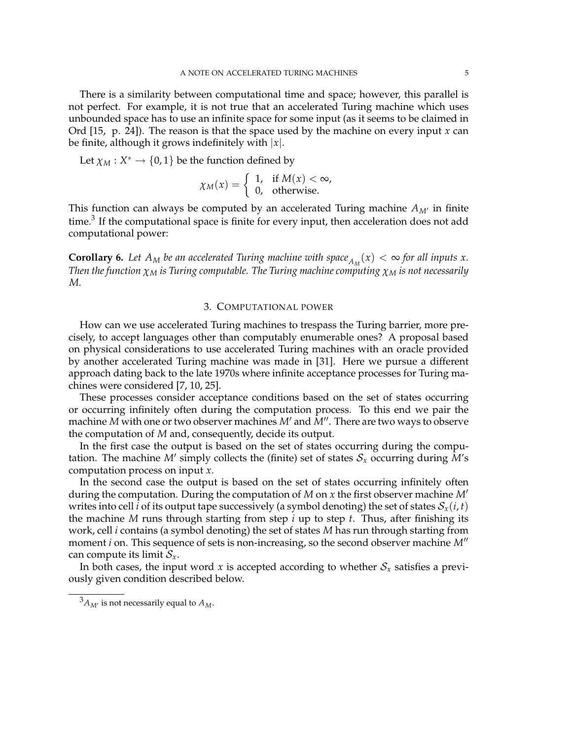There is a similarity between computational time and space; however, this parallel is not perfect. For example, it is not true that an accelerated Turing machine which uses unbounded space has to use an infinite space for some input (as it seems to be claimed in Ord [15, p. 24]). The reason is that the space used by the machine on every input *x* can be finite, although it grows indefinitely with |*x*|.

Let  $\chi_M : X^* \to \{0, 1\}$  be the function defined by

$$
\chi_M(x) = \begin{cases} 1, & \text{if } M(x) < \infty, \\ 0, & \text{otherwise.} \end{cases}
$$

This function can always be computed by an accelerated Turing machine  $A_{M'}$  in finite time.<sup>3</sup> If the computational space is finite for every input, then acceleration does not add computational power:

**Corollary 6.** Let  $A_M$  be an accelerated Turing machine with space $A_M(x) < \infty$  for all inputs x. *Then the function*  $\chi_M$  *is Turing computable. The Turing machine computing*  $\chi_M$  *is not necessarily M.*

# 3. COMPUTATIONAL POWER

How can we use accelerated Turing machines to trespass the Turing barrier, more precisely, to accept languages other than computably enumerable ones? A proposal based on physical considerations to use accelerated Turing machines with an oracle provided by another accelerated Turing machine was made in [31]. Here we pursue a different approach dating back to the late 1970s where infinite acceptance processes for Turing machines were considered [7, 10, 25].

These processes consider acceptance conditions based on the set of states occurring or occurring infinitely often during the computation process. To this end we pair the machine  $M$  with one or two observer machines  $M'$  and  $M''$ . There are two ways to observe the computation of *M* and, consequently, decide its output.

In the first case the output is based on the set of states occurring during the computation. The machine M' simply collects the (finite) set of states  $S_x$  occurring during M's computation process on input *x*.

In the second case the output is based on the set of states occurring infinitely often during the computation. During the computation of *M* on *x* the first observer machine *M*# writes into cell *i* of its output tape successively (a symbol denoting) the set of states  $S_x(i, t)$ the machine *M* runs through starting from step *i* up to step *t*. Thus, after finishing its work, cell *i* contains (a symbol denoting) the set of states *M* has run through starting from moment *i* on. This sequence of sets is non-increasing, so the second observer machine M<sup>"</sup> can compute its limit  $S_x$ .

In both cases, the input word  $x$  is accepted according to whether  $S_x$  satisfies a previously given condition described below.

 ${}^3A_{M'}$  is not necessarily equal to  $A_M$ .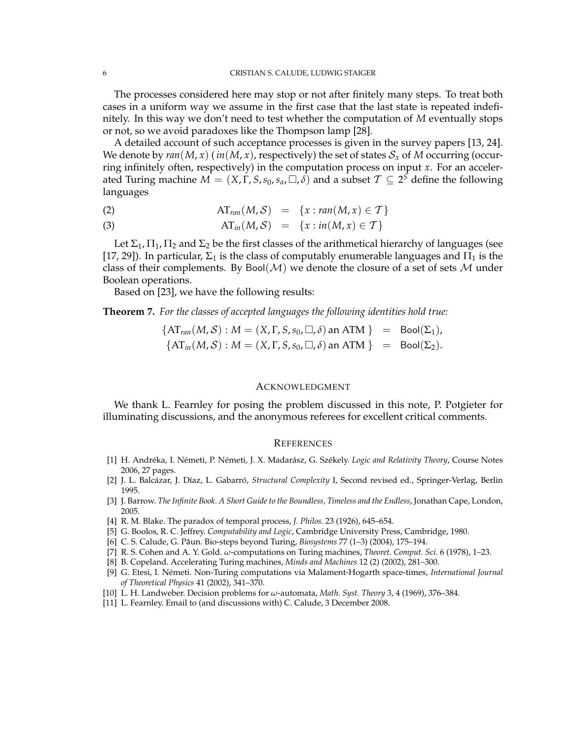The processes considered here may stop or not after finitely many steps. To treat both cases in a uniform way we assume in the first case that the last state is repeated indefinitely. In this way we don't need to test whether the computation of *M* eventually stops or not, so we avoid paradoxes like the Thompson lamp [28].

A detailed account of such acceptance processes is given in the survey papers [13, 24]. We denote by  $ran(M, x)$  ( $in(M, x)$ , respectively) the set of states  $S_x$  of M occurring (occurring infinitely often, respectively) in the computation process on input *x*. For an accelerated Turing machine  $M = (X, \Gamma, S, s_0, s_a, \square, \delta)$  and a subset  $\mathcal{T} \subseteq 2^{\delta}$  define the following languages

(2) 
$$
AT_{ran}(M, S) = \{x : ran(M, x) \in T\}
$$

(3) 
$$
AT_{in}(M, S) = \{x : in(M, x) \in T\}
$$

Let  $\Sigma_1$ ,  $\Pi_1$ ,  $\Pi_2$  and  $\Sigma_2$  be the first classes of the arithmetical hierarchy of languages (see [17, 29]). In particular,  $\Sigma_1$  is the class of computably enumerable languages and  $\Pi_1$  is the class of their complements. By Bool( $\mathcal{M}$ ) we denote the closure of a set of sets  $\mathcal{M}$  under Boolean operations.

Based on [23], we have the following results:

**Theorem 7.** *For the classes of accepted languages the following identities hold true:*

 $\{AT_{ran}(M, S) : M = (X, \Gamma, S, s_0, \square, \delta)$  an ATM  $\} = \text{Bool}(\Sigma_1)$ ,  $\{AT_{in}(M, S) : M = (X, \Gamma, S, s_0, \square, \delta)$  an ATM  $\}$  = Bool( $\Sigma_2$ ).

## ACKNOWLEDGMENT

We thank L. Fearnley for posing the problem discussed in this note, P. Potgieter for illuminating discussions, and the anonymous referees for excellent critical comments.

## **REFERENCES**

- [1] H. Andréka, I. Németi, P. Németi, J. X. Madarász, G. Székely. *Logic and Relativity Theory*, Course Notes 2006, 27 pages.
- [2] J. L. Balcázar, J. Díaz, L. Gabarró, *Structural Complexity* I, Second revised ed., Springer-Verlag, Berlin 1995.
- [3] J. Barrow. *The Infinite Book. A Short Guide to the Boundless, Timeless and the Endless*, Jonathan Cape, London, 2005.
- [4] R. M. Blake. The paradox of temporal process, *J. Philos.* 23 (1926), 645–654.
- [5] G. Boolos, R. C. Jeffrey. *Computability and Logic*, Cambridge University Press, Cambridge, 1980.
- [6] C. S. Calude, G. Păun. Bio-steps beyond Turing, *Biosystems* 77 (1-3) (2004), 175–194.
- [7] R. S. Cohen and A. Y. Gold. *ω*-computations on Turing machines, *Theoret. Comput. Sci.* 6 (1978), 1–23.
- [8] B. Copeland. Accelerating Turing machines, *Minds and Machines* 12 (2) (2002), 281–300.
- [9] G. Etesi, I. Nemeti. Non-Turing computations via Malament-Hogarth space-times, ´ *International Journal of Theoretical Physics* 41 (2002), 341–370.
- [10] L. H. Landweber. Decision problems for *ω*-automata, *Math. Syst. Theory* 3, 4 (1969), 376–384.
- [11] L. Fearnley. Email to (and discussions with) C. Calude, 3 December 2008.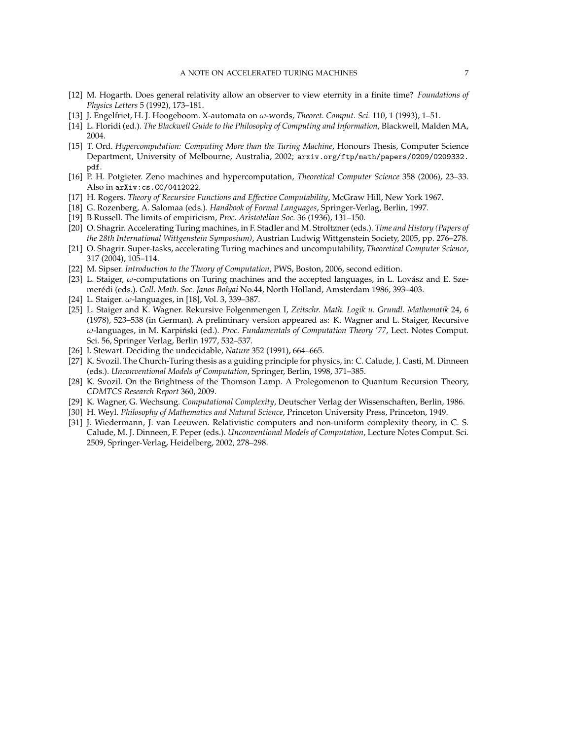- [12] M. Hogarth. Does general relativity allow an observer to view eternity in a finite time? *Foundations of Physics Letters* 5 (1992), 173–181.
- [13] J. Engelfriet, H. J. Hoogeboom. X-automata on *ω*-words, *Theoret. Comput. Sci.* 110, 1 (1993), 1–51.
- [14] L. Floridi (ed.). *The Blackwell Guide to the Philosophy of Computing and Information*, Blackwell, Malden MA, 2004.
- [15] T. Ord. *Hypercomputation: Computing More than the Turing Machine*, Honours Thesis, Computer Science Department, University of Melbourne, Australia, 2002; arxiv.org/ftp/math/papers/0209/0209332. pdf.
- [16] P. H. Potgieter. Zeno machines and hypercomputation, *Theoretical Computer Science* 358 (2006), 23–33. Also in arXiv:cs.CC/0412022.
- [17] H. Rogers. *Theory of Recursive Functions and Effective Computability*, McGraw Hill, New York 1967.
- [18] G. Rozenberg, A. Salomaa (eds.). *Handbook of Formal Languages*, Springer-Verlag, Berlin, 1997.
- [19] B Russell. The limits of empiricism, *Proc. Aristotelian Soc.* 36 (1936), 131–150.
- [20] O. Shagrir. Accelerating Turing machines, in F. Stadler and M. Stroltzner (eds.). *Time and History (Papers of the 28th International Wittgenstein Symposium)*, Austrian Ludwig Wittgenstein Society, 2005, pp. 276–278.
- [21] O. Shagrir. Super-tasks, accelerating Turing machines and uncomputability, *Theoretical Computer Science*, 317 (2004), 105–114.
- [22] M. Sipser. *Introduction to the Theory of Computation*, PWS, Boston, 2006, second edition.
- [23] L. Staiger, *ω*-computations on Turing machines and the accepted languages, in L. Lovász and E. Szemerédi (eds.). Coll. Math. Soc. Janos Bolyai No.44, North Holland, Amsterdam 1986, 393-403.
- [24] L. Staiger. *ω*-languages, in [18], Vol. 3, 339–387.
- [25] L. Staiger and K. Wagner. Rekursive Folgenmengen I, *Zeitschr. Math. Logik u. Grundl. Mathematik* 24, 6 (1978), 523–538 (in German). A preliminary version appeared as: K. Wagner and L. Staiger, Recursive  $ω$ -languages, in M. Karpiński (ed.). *Proc. Fundamentals of Computation Theory '77*, Lect. Notes Comput. Sci. 56, Springer Verlag, Berlin 1977, 532–537.
- [26] I. Stewart. Deciding the undecidable, *Nature* 352 (1991), 664–665.
- [27] K. Svozil. The Church-Turing thesis as a guiding principle for physics, in: C. Calude, J. Casti, M. Dinneen (eds.). *Unconventional Models of Computation*, Springer, Berlin, 1998, 371–385.
- [28] K. Svozil. On the Brightness of the Thomson Lamp. A Prolegomenon to Quantum Recursion Theory, *CDMTCS Research Report* 360, 2009.
- [29] K. Wagner, G. Wechsung. *Computational Complexity*, Deutscher Verlag der Wissenschaften, Berlin, 1986.
- [30] H. Weyl. *Philosophy of Mathematics and Natural Science*, Princeton University Press, Princeton, 1949.
- [31] J. Wiedermann, J. van Leeuwen. Relativistic computers and non-uniform complexity theory, in C. S. Calude, M. J. Dinneen, F. Peper (eds.). *Unconventional Models of Computation*, Lecture Notes Comput. Sci. 2509, Springer-Verlag, Heidelberg, 2002, 278–298.